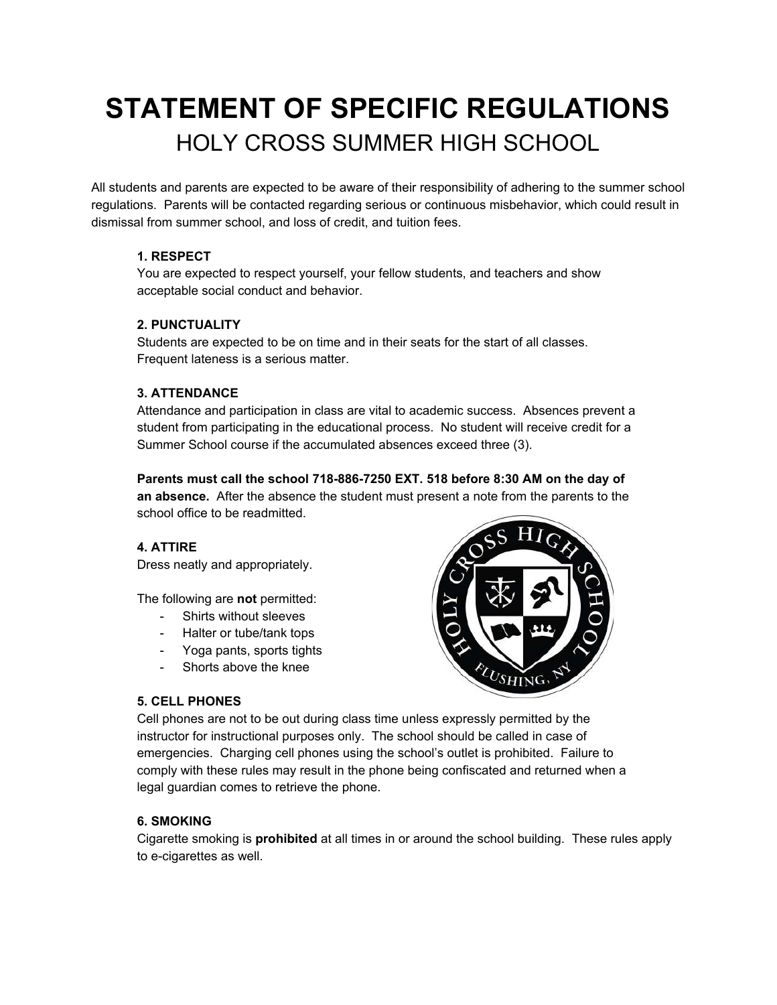# **STATEMENT OF SPECIFIC REGULATIONS** HOLY CROSS SUMMER HIGH SCHOOL

All students and parents are expected to be aware of their responsibility of adhering to the summer school regulations. Parents will be contacted regarding serious or continuous misbehavior, which could result in dismissal from summer school, and loss of credit, and tuition fees.

# **1. RESPECT**

You are expected to respect yourself, your fellow students, and teachers and show acceptable social conduct and behavior.

# **2. PUNCTUALITY**

Students are expected to be on time and in their seats for the start of all classes. Frequent lateness is a serious matter.

# **3. ATTENDANCE**

Attendance and participation in class are vital to academic success. Absences prevent a student from participating in the educational process. No student will receive credit for a Summer School course if the accumulated absences exceed three (3).

**Parents must call the school 718-886-7250 EXT. 518 before 8:30 AM on the day of an absence.** After the absence the student must present a note from the parents to the school office to be readmitted.

# **4. ATTIRE**

Dress neatly and appropriately.

The following are **not** permitted:

- Shirts without sleeves
- Halter or tube/tank tops
- Yoga pants, sports tights
- Shorts above the knee

# $v_{\text{USHING}}$

#### **5. CELL PHONES**

Cell phones are not to be out during class time unless expressly permitted by the instructor for instructional purposes only. The school should be called in case of emergencies. Charging cell phones using the school's outlet is prohibited. Failure to comply with these rules may result in the phone being confiscated and returned when a legal guardian comes to retrieve the phone.

#### **6. SMOKING**

Cigarette smoking is **prohibited** at all times in or around the school building. These rules apply to e-cigarettes as well.